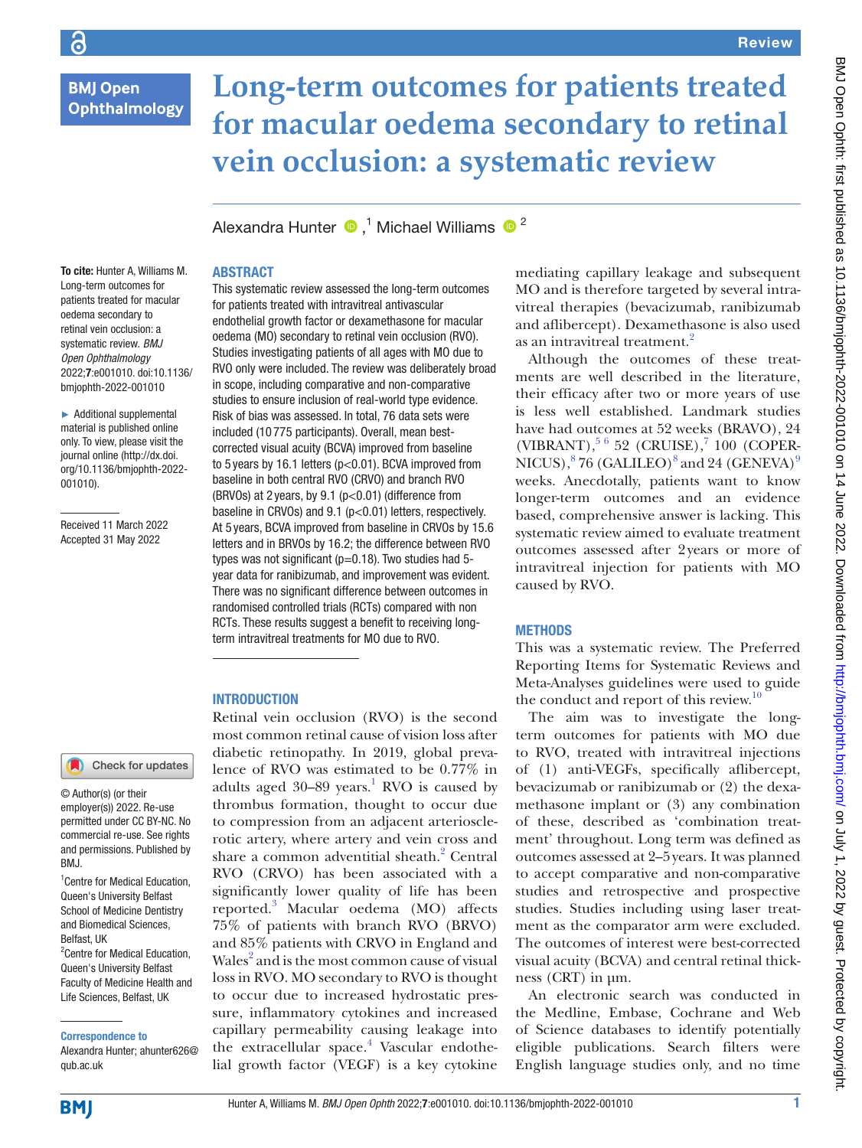Ophthalmology

6

# **Long-term outcomes for patients treated for macular oedema secondary to retinal vein occlusion: a systematic review**

AlexandraHunter  $\bigcirc$  ,<sup>1</sup> Michael Williams  $\bigcirc$  <sup>2</sup>

#### **ABSTRACT**

To cite: Hunter A, Williams M. Long-term outcomes for patients treated for macular oedema secondary to retinal vein occlusion: a systematic review. *BMJ Open Ophthalmology* 2022;7:e001010. doi:10.1136/ bmjophth-2022-001010

► Additional supplemental material is published online only. To view, please visit the journal online ([http://dx.doi.](http://dx.doi.org/10.1136/bmjophth-2022-001010) [org/10.1136/bmjophth-2022-](http://dx.doi.org/10.1136/bmjophth-2022-001010) [001010](http://dx.doi.org/10.1136/bmjophth-2022-001010)).

Received 11 March 2022 Accepted 31 May 2022

#### Check for updates

© Author(s) (or their employer(s)) 2022. Re-use permitted under CC BY-NC. No commercial re-use. See rights and permissions. Published by BMJ.

1 Centre for Medical Education, Queen's University Belfast School of Medicine Dentistry and Biomedical Sciences, Belfast, UK <sup>2</sup> Centre for Medical Education, Queen's University Belfast Faculty of Medicine Health and Life Sciences, Belfast, UK

Correspondence to

Alexandra Hunter; ahunter626@ qub.ac.uk

This systematic review assessed the long-term outcomes for patients treated with intravitreal antivascular endothelial growth factor or dexamethasone for macular oedema (MO) secondary to retinal vein occlusion (RVO). Studies investigating patients of all ages with MO due to RVO only were included. The review was deliberately broad in scope, including comparative and non-comparative studies to ensure inclusion of real-world type evidence. Risk of bias was assessed. In total, 76 data sets were included (10 775 participants). Overall, mean bestcorrected visual acuity (BCVA) improved from baseline to 5 years by 16.1 letters (p<0.01). BCVA improved from baseline in both central RVO (CRVO) and branch RVO (BRVOs) at 2 years, by 9.1 (p<0.01) (difference from baseline in CRVOs) and 9.1 (p<0.01) letters, respectively. At 5 years, BCVA improved from baseline in CRVOs by 15.6 letters and in BRVOs by 16.2; the difference between RVO types was not significant (p=0.18). Two studies had 5 year data for ranibizumab, and improvement was evident. There was no significant difference between outcomes in randomised controlled trials (RCTs) compared with non RCTs. These results suggest a benefit to receiving longterm intravitreal treatments for MO due to RVO.

#### INTRODUCTION

Retinal vein occlusion (RVO) is the second most common retinal cause of vision loss after diabetic retinopathy. In 2019, global prevalence of RVO was estimated to be 0.77% in adults aged  $30-89$  years.<sup>1</sup> RVO is caused by thrombus formation, thought to occur due to compression from an adjacent arteriosclerotic artery, where artery and vein cross and share a common adventitial sheath.<sup>2</sup> Central RVO (CRVO) has been associated with a significantly lower quality of life has been reported.[3](#page-4-2) Macular oedema (MO) affects 75% of patients with branch RVO (BRVO) and 85% patients with CRVO in England and Wales<sup>[2](#page-4-1)</sup> and is the most common cause of visual loss in RVO. MO secondary to RVO is thought to occur due to increased hydrostatic pressure, inflammatory cytokines and increased capillary permeability causing leakage into the extracellular space.<sup>[4](#page-4-3)</sup> Vascular endothelial growth factor (VEGF) is a key cytokine

mediating capillary leakage and subsequent MO and is therefore targeted by several intravitreal therapies (bevacizumab, ranibizumab and aflibercept). Dexamethasone is also used as an intravitreal treatment.<sup>[2](#page-4-1)</sup>

Although the outcomes of these treatments are well described in the literature, their efficacy after two or more years of use is less well established. Landmark studies have had outcomes at 52 weeks (BRAVO), 24 (VIBRANT), [5 6](#page-4-4) 52 (CRUISE), 7 100 (COPER-NICUS), $^{8}$  $^{8}$  $^{8}$  76 (GALILEO) $^{8}$  and 24 (GENEVA) $^{9}$  $^{9}$  $^{9}$ weeks. Anecdotally, patients want to know longer-term outcomes and an evidence based, comprehensive answer is lacking. This systematic review aimed to evaluate treatment outcomes assessed after 2years or more of intravitreal injection for patients with MO caused by RVO.

#### **METHODS**

This was a systematic review. The Preferred Reporting Items for Systematic Reviews and Meta-Analyses guidelines were used to guide the conduct and report of this review.<sup>[10](#page-4-8)</sup>

The aim was to investigate the longterm outcomes for patients with MO due to RVO, treated with intravitreal injections of (1) anti-VEGFs, specifically aflibercept, bevacizumab or ranibizumab or (2) the dexamethasone implant or (3) any combination of these, described as 'combination treatment' throughout. Long term was defined as outcomes assessed at 2–5years. It was planned to accept comparative and non-comparative studies and retrospective and prospective studies. Studies including using laser treatment as the comparator arm were excluded. The outcomes of interest were best-corrected visual acuity (BCVA) and central retinal thickness (CRT) in µm.

An electronic search was conducted in the Medline, Embase, Cochrane and Web of Science databases to identify potentially eligible publications. Search filters were English language studies only, and no time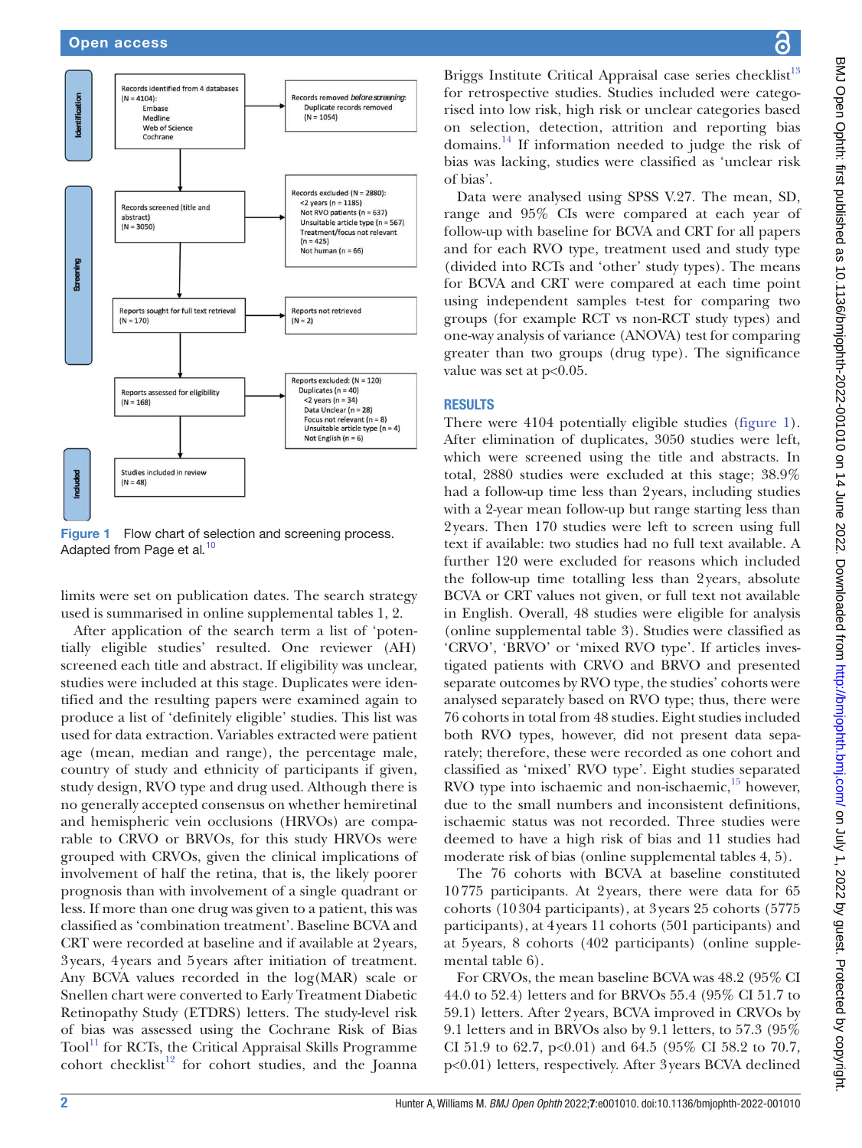

<span id="page-1-0"></span>Figure 1 Flow chart of selection and screening process. Adapted from Page et al*.* [10](#page-4-8)

limits were set on publication dates. The search strategy used is summarised in [online supplemental tables 1, 2](https://dx.doi.org/10.1136/bmjophth-2022-001010).

After application of the search term a list of 'potentially eligible studies' resulted. One reviewer (AH) screened each title and abstract. If eligibility was unclear, studies were included at this stage. Duplicates were identified and the resulting papers were examined again to produce a list of 'definitely eligible' studies. This list was used for data extraction. Variables extracted were patient age (mean, median and range), the percentage male, country of study and ethnicity of participants if given, study design, RVO type and drug used. Although there is no generally accepted consensus on whether hemiretinal and hemispheric vein occlusions (HRVOs) are comparable to CRVO or BRVOs, for this study HRVOs were grouped with CRVOs, given the clinical implications of involvement of half the retina, that is, the likely poorer prognosis than with involvement of a single quadrant or less. If more than one drug was given to a patient, this was classified as 'combination treatment'. Baseline BCVA and CRT were recorded at baseline and if available at 2years, 3years, 4years and 5years after initiation of treatment. Any BCVA values recorded in the log(MAR) scale or Snellen chart were converted to Early Treatment Diabetic Retinopathy Study (ETDRS) letters. The study-level risk of bias was assessed using the Cochrane Risk of Bias  $Tool<sup>11</sup>$  for RCTs, the Critical Appraisal Skills Programme cohort checklist<sup>12</sup> for cohort studies, and the Joanna

Briggs Institute Critical Appraisal case series checklist<sup>[13](#page-4-11)</sup> for retrospective studies. Studies included were categorised into low risk, high risk or unclear categories based on selection, detection, attrition and reporting bias domains.[14](#page-4-12) If information needed to judge the risk of bias was lacking, studies were classified as 'unclear risk of bias'.

Data were analysed using SPSS V.27. The mean, SD, range and 95% CIs were compared at each year of follow-up with baseline for BCVA and CRT for all papers and for each RVO type, treatment used and study type (divided into RCTs and 'other' study types). The means for BCVA and CRT were compared at each time point using independent samples t-test for comparing two groups (for example RCT vs non-RCT study types) and one-way analysis of variance (ANOVA) test for comparing greater than two groups (drug type). The significance value was set at  $p<0.05$ .

## RESULTS

There were 4104 potentially eligible studies [\(figure](#page-1-0) 1). After elimination of duplicates, 3050 studies were left, which were screened using the title and abstracts. In total, 2880 studies were excluded at this stage; 38.9% had a follow-up time less than 2years, including studies with a 2-year mean follow-up but range starting less than 2years. Then 170 studies were left to screen using full text if available: two studies had no full text available. A further 120 were excluded for reasons which included the follow-up time totalling less than 2years, absolute BCVA or CRT values not given, or full text not available in English. Overall, 48 studies were eligible for analysis [\(online supplemental table 3\)](https://dx.doi.org/10.1136/bmjophth-2022-001010). Studies were classified as 'CRVO', 'BRVO' or 'mixed RVO type'. If articles investigated patients with CRVO and BRVO and presented separate outcomes by RVO type, the studies' cohorts were analysed separately based on RVO type; thus, there were 76 cohorts in total from 48 studies. Eight studies included both RVO types, however, did not present data separately; therefore, these were recorded as one cohort and classified as 'mixed' RVO type'. Eight studies separated RVO type into ischaemic and non-ischaemic,<sup>15</sup> however, due to the small numbers and inconsistent definitions, ischaemic status was not recorded. Three studies were deemed to have a high risk of bias and 11 studies had moderate risk of bias ([online supplemental tables 4, 5\)](https://dx.doi.org/10.1136/bmjophth-2022-001010).

The 76 cohorts with BCVA at baseline constituted 10775 participants. At 2years, there were data for 65 cohorts (10304 participants), at 3years 25 cohorts (5775 participants), at 4years 11 cohorts (501 participants) and at 5years, 8 cohorts (402 participants) ([online supple](https://dx.doi.org/10.1136/bmjophth-2022-001010)[mental table 6](https://dx.doi.org/10.1136/bmjophth-2022-001010)).

For CRVOs, the mean baseline BCVA was 48.2 (95% CI 44.0 to 52.4) letters and for BRVOs 55.4 (95% CI 51.7 to 59.1) letters. After 2years, BCVA improved in CRVOs by 9.1 letters and in BRVOs also by 9.1 letters, to 57.3 (95% CI 51.9 to 62.7,  $p<0.01$ ) and 64.5 (95% CI 58.2 to 70.7, p<0.01) letters, respectively. After 3years BCVA declined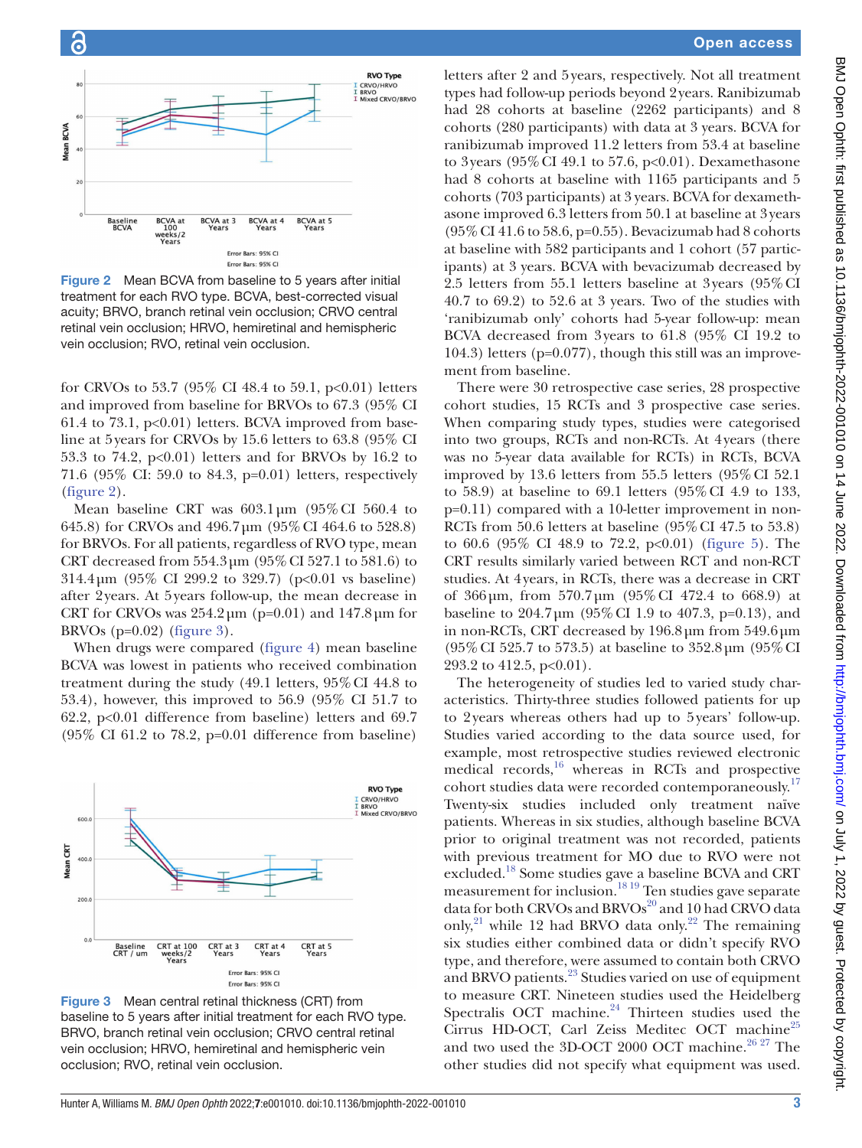

<span id="page-2-0"></span>Figure 2 Mean BCVA from baseline to 5 years after initial treatment for each RVO type. BCVA, best-corrected visual acuity; BRVO, branch retinal vein occlusion; CRVO central retinal vein occlusion; HRVO, hemiretinal and hemispheric vein occlusion; RVO, retinal vein occlusion.

for CRVOs to 53.7 (95% CI 48.4 to 59.1, p<0.01) letters and improved from baseline for BRVOs to 67.3 (95% CI 61.4 to 73.1,  $p<0.01$ ) letters. BCVA improved from baseline at 5years for CRVOs by 15.6 letters to 63.8 (95% CI 53.3 to 74.2,  $p<0.01$ ) letters and for BRVOs by 16.2 to 71.6 (95% CI: 59.0 to 84.3, p=0.01) letters, respectively [\(figure](#page-2-0) 2).

Mean baseline CRT was  $603.1 \,\mathrm{\upmu m}$  (95% CI 560.4 to 645.8) for CRVOs and 496.7µm (95%CI 464.6 to 528.8) for BRVOs. For all patients, regardless of RVO type, mean CRT decreased from 554.3µm (95%CI 527.1 to 581.6) to 314.4µm (95% CI 299.2 to 329.7) (p<0.01 vs baseline) after 2years. At 5years follow-up, the mean decrease in CRT for CRVOs was  $254.2 \,\mu m$  (p=0.01) and  $147.8 \,\mu m$  for BRVOs ( $p=0.02$ ) ([figure](#page-2-1) 3).

When drugs were compared [\(figure](#page-3-0) 4) mean baseline BCVA was lowest in patients who received combination treatment during the study (49.1 letters, 95%CI 44.8 to 53.4), however, this improved to 56.9 (95% CI 51.7 to 62.2, p<0.01 difference from baseline) letters and 69.7 (95% CI 61.2 to 78.2, p=0.01 difference from baseline)



<span id="page-2-1"></span>Figure 3 Mean central retinal thickness (CRT) from baseline to 5 years after initial treatment for each RVO type. BRVO, branch retinal vein occlusion; CRVO central retinal vein occlusion; HRVO, hemiretinal and hemispheric vein occlusion; RVO, retinal vein occlusion.

# Open access

letters after 2 and 5years, respectively. Not all treatment types had follow-up periods beyond 2years. Ranibizumab had 28 cohorts at baseline (2262 participants) and 8 cohorts (280 participants) with data at 3 years. BCVA for ranibizumab improved 11.2 letters from 53.4 at baseline to 3years (95%CI 49.1 to 57.6, p<0.01). Dexamethasone had 8 cohorts at baseline with 1165 participants and 5 cohorts (703 participants) at 3 years. BCVA for dexamethasone improved 6.3 letters from 50.1 at baseline at 3years (95%CI 41.6 to 58.6, p=0.55). Bevacizumab had 8 cohorts at baseline with 582 participants and 1 cohort (57 participants) at 3 years. BCVA with bevacizumab decreased by 2.5 letters from 55.1 letters baseline at 3years (95%CI 40.7 to 69.2) to 52.6 at 3 years. Two of the studies with 'ranibizumab only' cohorts had 5-year follow-up: mean BCVA decreased from 3years to 61.8 (95% CI 19.2 to 104.3) letters (p=0.077), though this still was an improvement from baseline.

There were 30 retrospective case series, 28 prospective cohort studies, 15 RCTs and 3 prospective case series. When comparing study types, studies were categorised into two groups, RCTs and non-RCTs. At 4years (there was no 5-year data available for RCTs) in RCTs, BCVA improved by 13.6 letters from 55.5 letters (95%CI 52.1 to 58.9) at baseline to 69.1 letters (95%CI 4.9 to 133, p=0.11) compared with a 10-letter improvement in non-RCTs from 50.6 letters at baseline (95%CI 47.5 to 53.8) to 60.6 (95% CI 48.9 to 72.2, p<0.01) ([figure](#page-3-1) 5). The CRT results similarly varied between RCT and non-RCT studies. At 4years, in RCTs, there was a decrease in CRT of 366µm, from 570.7µm (95%CI 472.4 to 668.9) at baseline to  $204.7 \,\mathrm{\upmu m}$  (95% CI 1.9 to 407.3, p=0.13), and in non-RCTs, CRT decreased by 196.8µm from 549.6µm (95%CI 525.7 to 573.5) at baseline to 352.8µm (95%CI 293.2 to  $412.5$ ,  $p<0.01$ ).

The heterogeneity of studies led to varied study characteristics. Thirty-three studies followed patients for up to 2years whereas others had up to 5years' follow-up. Studies varied according to the data source used, for example, most retrospective studies reviewed electronic medical records,<sup>16</sup> whereas in RCTs and prospective cohort studies data were recorded contemporaneously.<sup>17</sup> Twenty-six studies included only treatment naïve patients. Whereas in six studies, although baseline BCVA prior to original treatment was not recorded, patients with previous treatment for MO due to RVO were not excluded.[18](#page-4-16) Some studies gave a baseline BCVA and CRT measurement for inclusion.[18 19](#page-4-16) Ten studies gave separate data for both CRVOs and BRVOs<sup>20</sup> and 10 had CRVO data only,<sup>21</sup> while 12 had BRVO data only.<sup>22</sup> The remaining six studies either combined data or didn't specify RVO type, and therefore, were assumed to contain both CRVO and BRVO patients.<sup>[23](#page-5-3)</sup> Studies varied on use of equipment to measure CRT. Nineteen studies used the Heidelberg Spectralis OCT machine. $24$  Thirteen studies used the Cirrus HD-OCT, Carl Zeiss Meditec OCT machine<sup>[25](#page-5-5)</sup> and two used the 3D-OCT 2000 OCT machine.<sup>26,27</sup> The other studies did not specify what equipment was used.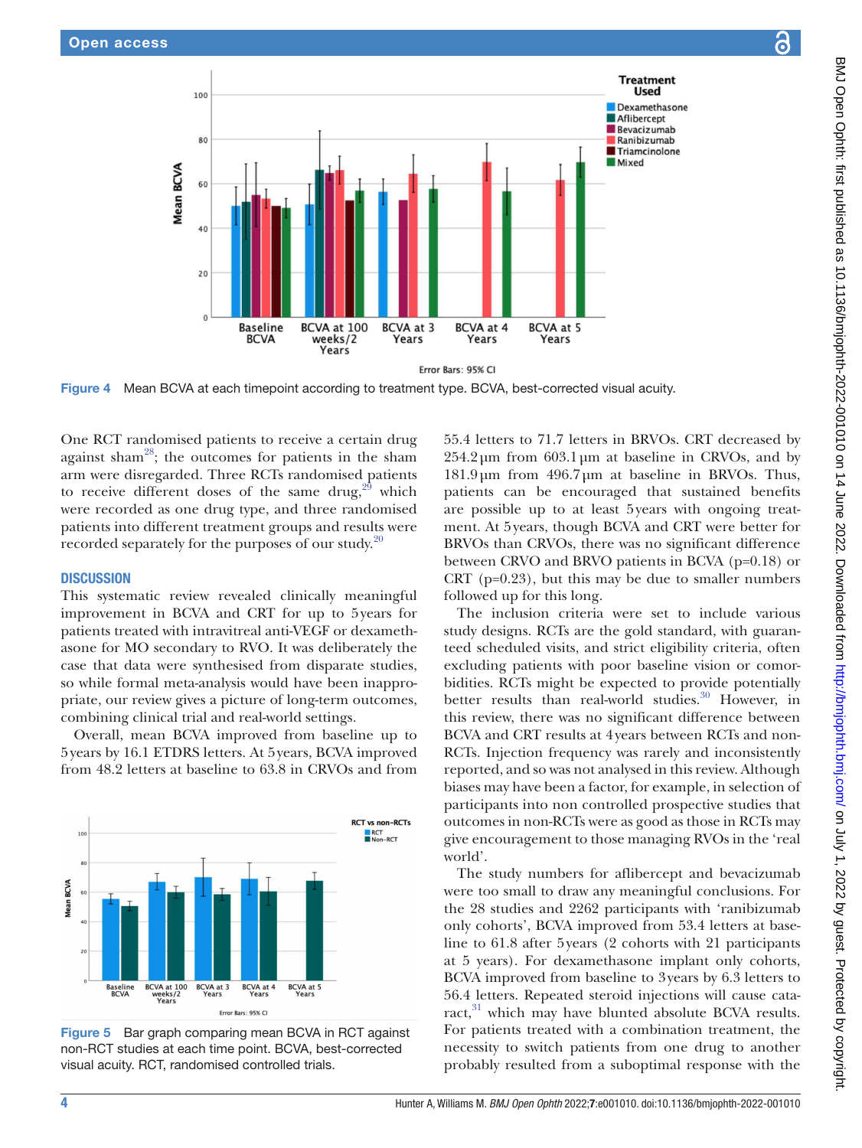

Figure 4 Mean BCVA at each timepoint according to treatment type. BCVA, best-corrected visual acuity.

One RCT randomised patients to receive a certain drug against sham<sup>28</sup>; the outcomes for patients in the sham arm were disregarded. Three RCTs randomised patients to receive different doses of the same drug, $29$  which were recorded as one drug type, and three randomised patients into different treatment groups and results were recorded separately for the purposes of our study.<sup>[20](#page-5-0)</sup>

#### **DISCUSSION**

This systematic review revealed clinically meaningful improvement in BCVA and CRT for up to 5years for patients treated with intravitreal anti-VEGF or dexamethasone for MO secondary to RVO. It was deliberately the case that data were synthesised from disparate studies, so while formal meta-analysis would have been inappropriate, our review gives a picture of long-term outcomes, combining clinical trial and real-world settings.

Overall, mean BCVA improved from baseline up to 5years by 16.1 ETDRS letters. At 5years, BCVA improved from 48.2 letters at baseline to 63.8 in CRVOs and from



<span id="page-3-1"></span>Figure 5 Bar graph comparing mean BCVA in RCT against non-RCT studies at each time point. BCVA, best-corrected visual acuity. RCT, randomised controlled trials.

<span id="page-3-0"></span>55.4 letters to 71.7 letters in BRVOs. CRT decreased by  $254.2 \,\mu m$  from 603.1  $\mu m$  at baseline in CRVOs, and by 181.9µm from 496.7µm at baseline in BRVOs. Thus, patients can be encouraged that sustained benefits are possible up to at least 5years with ongoing treatment. At 5years, though BCVA and CRT were better for BRVOs than CRVOs, there was no significant difference between CRVO and BRVO patients in BCVA (p=0.18) or CRT ( $p=0.23$ ), but this may be due to smaller numbers followed up for this long.

The inclusion criteria were set to include various study designs. RCTs are the gold standard, with guaranteed scheduled visits, and strict eligibility criteria, often excluding patients with poor baseline vision or comorbidities. RCTs might be expected to provide potentially better results than real-world studies.<sup>30</sup> However, in this review, there was no significant difference between BCVA and CRT results at 4years between RCTs and non-RCTs. Injection frequency was rarely and inconsistently reported, and so was not analysed in this review. Although biases may have been a factor, for example, in selection of participants into non controlled prospective studies that outcomes in non-RCTs were as good as those in RCTs may give encouragement to those managing RVOs in the 'real world'.

The study numbers for aflibercept and bevacizumab were too small to draw any meaningful conclusions. For the 28 studies and 2262 participants with 'ranibizumab only cohorts', BCVA improved from 53.4 letters at baseline to 61.8 after 5years (2 cohorts with 21 participants at 5 years). For dexamethasone implant only cohorts, BCVA improved from baseline to 3years by 6.3 letters to 56.4 letters. Repeated steroid injections will cause cataract,<sup>31</sup> which may have blunted absolute BCVA results. For patients treated with a combination treatment, the necessity to switch patients from one drug to another probably resulted from a suboptimal response with the

ခ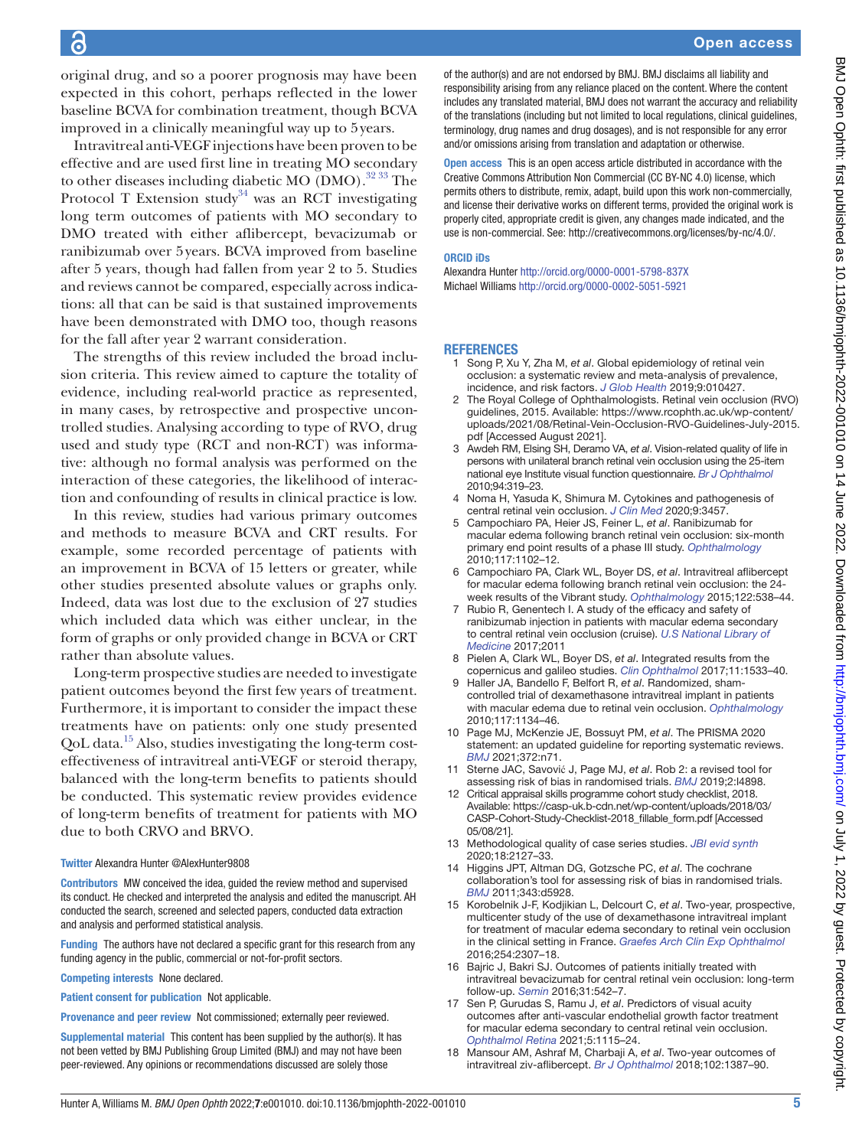# ခြ

original drug, and so a poorer prognosis may have been expected in this cohort, perhaps reflected in the lower baseline BCVA for combination treatment, though BCVA improved in a clinically meaningful way up to 5years.

Intravitreal anti-VEGF injections have been proven to be effective and are used first line in treating MO secondary to other diseases including diabetic MO (DMO).<sup>[32 33](#page-5-11)</sup> The Protocol T Extension study<sup>34</sup> was an RCT investigating long term outcomes of patients with MO secondary to DMO treated with either aflibercept, bevacizumab or ranibizumab over 5years. BCVA improved from baseline after 5 years, though had fallen from year 2 to 5. Studies and reviews cannot be compared, especially across indications: all that can be said is that sustained improvements have been demonstrated with DMO too, though reasons for the fall after year 2 warrant consideration.

The strengths of this review included the broad inclusion criteria. This review aimed to capture the totality of evidence, including real-world practice as represented, in many cases, by retrospective and prospective uncontrolled studies. Analysing according to type of RVO, drug used and study type (RCT and non-RCT) was informative: although no formal analysis was performed on the interaction of these categories, the likelihood of interaction and confounding of results in clinical practice is low.

In this review, studies had various primary outcomes and methods to measure BCVA and CRT results. For example, some recorded percentage of patients with an improvement in BCVA of 15 letters or greater, while other studies presented absolute values or graphs only. Indeed, data was lost due to the exclusion of 27 studies which included data which was either unclear, in the form of graphs or only provided change in BCVA or CRT rather than absolute values.

Long-term prospective studies are needed to investigate patient outcomes beyond the first few years of treatment. Furthermore, it is important to consider the impact these treatments have on patients: only one study presented  $QoL$  data.<sup>15</sup> Also, studies investigating the long-term costeffectiveness of intravitreal anti-VEGF or steroid therapy, balanced with the long-term benefits to patients should be conducted. This systematic review provides evidence of long-term benefits of treatment for patients with MO due to both CRVO and BRVO.

# Twitter Alexandra Hunter [@AlexHunter9808](https://twitter.com/AlexHunter9808)

Contributors MW conceived the idea, guided the review method and supervised its conduct. He checked and interpreted the analysis and edited the manuscript. AH conducted the search, screened and selected papers, conducted data extraction and analysis and performed statistical analysis.

Funding The authors have not declared a specific grant for this research from any funding agency in the public, commercial or not-for-profit sectors.

Competing interests None declared.

Patient consent for publication Not applicable.

Provenance and peer review Not commissioned; externally peer reviewed.

Supplemental material This content has been supplied by the author(s). It has not been vetted by BMJ Publishing Group Limited (BMJ) and may not have been peer-reviewed. Any opinions or recommendations discussed are solely those

of the author(s) and are not endorsed by BMJ. BMJ disclaims all liability and responsibility arising from any reliance placed on the content. Where the content includes any translated material, BMJ does not warrant the accuracy and reliability of the translations (including but not limited to local regulations, clinical guidelines, terminology, drug names and drug dosages), and is not responsible for any error and/or omissions arising from translation and adaptation or otherwise.

Open access This is an open access article distributed in accordance with the Creative Commons Attribution Non Commercial (CC BY-NC 4.0) license, which permits others to distribute, remix, adapt, build upon this work non-commercially, and license their derivative works on different terms, provided the original work is properly cited, appropriate credit is given, any changes made indicated, and the use is non-commercial. See:<http://creativecommons.org/licenses/by-nc/4.0/>.

## ORCID iDs

Alexandra Hunter <http://orcid.org/0000-0001-5798-837X> Michael Williams <http://orcid.org/0000-0002-5051-5921>

#### **REFERENCES**

- <span id="page-4-0"></span>1 Song P, Xu Y, Zha M, *et al*. Global epidemiology of retinal vein occlusion: a systematic review and meta-analysis of prevalence, incidence, and risk factors. *[J Glob Health](http://dx.doi.org/10.7189/jogh.09.010427)* 2019;9:010427.
- <span id="page-4-1"></span>2 The Royal College of Ophthalmologists. Retinal vein occlusion (RVO) guidelines, 2015. Available: [https://www.rcophth.ac.uk/wp-content/](https://www.rcophth.ac.uk/wp-content/uploads/2021/08/Retinal-Vein-Occlusion-RVO-Guidelines-July-2015.pdf) [uploads/2021/08/Retinal-Vein-Occlusion-RVO-Guidelines-July-2015.](https://www.rcophth.ac.uk/wp-content/uploads/2021/08/Retinal-Vein-Occlusion-RVO-Guidelines-July-2015.pdf) [pdf](https://www.rcophth.ac.uk/wp-content/uploads/2021/08/Retinal-Vein-Occlusion-RVO-Guidelines-July-2015.pdf) [Accessed August 2021].
- <span id="page-4-2"></span>3 Awdeh RM, Elsing SH, Deramo VA, *et al*. Vision-related quality of life in persons with unilateral branch retinal vein occlusion using the 25-item national eye Institute visual function questionnaire. *[Br J Ophthalmol](http://dx.doi.org/10.1136/bjo.2007.135913)* 2010;94:319–23.
- <span id="page-4-3"></span>4 Noma H, Yasuda K, Shimura M. Cytokines and pathogenesis of central retinal vein occlusion. *[J Clin Med](http://dx.doi.org/10.3390/jcm9113457)* 2020;9:3457.
- <span id="page-4-4"></span>5 Campochiaro PA, Heier JS, Feiner L, *et al*. Ranibizumab for macular edema following branch retinal vein occlusion: six-month primary end point results of a phase III study. *[Ophthalmology](http://dx.doi.org/10.1016/j.ophtha.2010.02.021)* 2010;117:1102–12.
- 6 Campochiaro PA, Clark WL, Boyer DS, *et al*. Intravitreal aflibercept for macular edema following branch retinal vein occlusion: the 24 week results of the Vibrant study. *[Ophthalmology](http://dx.doi.org/10.1016/j.ophtha.2014.08.031)* 2015;122:538–44.
- <span id="page-4-5"></span>7 Rubio R, Genentech I. A study of the efficacy and safety of ranibizumab injection in patients with macular edema secondary to central retinal vein occlusion (cruise). *[U.S National Library of](http://dx.doi.org/10.1016/j.ophtha.2010.02.022)  [Medicine](http://dx.doi.org/10.1016/j.ophtha.2010.02.022)* 2017;2011
- <span id="page-4-6"></span>8 Pielen A, Clark WL, Boyer DS, *et al*. Integrated results from the copernicus and galileo studies. *[Clin Ophthalmol](http://dx.doi.org/10.2147/OPTH.S140665)* 2017;11:1533–40.
- <span id="page-4-7"></span>9 Haller JA, Bandello F, Belfort R, *et al*. Randomized, shamcontrolled trial of dexamethasone intravitreal implant in patients with macular edema due to retinal vein occlusion. *[Ophthalmology](http://dx.doi.org/10.1016/j.ophtha.2010.03.032)* 2010;117:1134–46.
- <span id="page-4-8"></span>10 Page MJ, McKenzie JE, Bossuyt PM, *et al*. The PRISMA 2020 statement: an updated guideline for reporting systematic reviews. *[BMJ](http://dx.doi.org/10.1136/bmj.n71)* 2021;372:n71.
- <span id="page-4-9"></span>11 Sterne JAC, Savović J, Page MJ, *et al*. Rob 2: a revised tool for assessing risk of bias in randomised trials. *[BMJ](http://dx.doi.org/10.1136/bmj.l4898)* 2019;2:l4898.
- <span id="page-4-10"></span>12 Critical appraisal skills programme cohort study checklist, 2018. Available: [https://casp-uk.b-cdn.net/wp-content/uploads/2018/03/](https://casp-uk.b-cdn.net/wp-content/uploads/2018/03/CASP-Cohort-Study-Checklist-2018_fillable_form.pdf) [CASP-Cohort-Study-Checklist-2018\\_fillable\\_form.pdf](https://casp-uk.b-cdn.net/wp-content/uploads/2018/03/CASP-Cohort-Study-Checklist-2018_fillable_form.pdf) [Accessed 05/08/21].
- <span id="page-4-11"></span>13 Methodological quality of case series studies. *[JBI evid synth](http://dx.doi.org/10.11124/JBISRIR-D-19-00099)* 2020;18:2127–33.
- <span id="page-4-12"></span>14 Higgins JPT, Altman DG, Gotzsche PC, *et al*. The cochrane collaboration's tool for assessing risk of bias in randomised trials. *[BMJ](http://dx.doi.org/10.1136/bmj.d5928)* 2011;343:d5928.
- <span id="page-4-13"></span>15 Korobelnik J-F, Kodjikian L, Delcourt C, *et al*. Two-year, prospective, multicenter study of the use of dexamethasone intravitreal implant for treatment of macular edema secondary to retinal vein occlusion in the clinical setting in France. *[Graefes Arch Clin Exp Ophthalmol](http://dx.doi.org/10.1007/s00417-016-3394-y)* 2016;254:2307–18.
- <span id="page-4-14"></span>16 Bajric J, Bakri SJ. Outcomes of patients initially treated with intravitreal bevacizumab for central retinal vein occlusion: long-term follow-up. *[Semin](http://dx.doi.org/10.1080/08820538.2016.1230637)* 2016;31:542–7.
- <span id="page-4-15"></span>17 Sen P, Gurudas S, Ramu J, *et al*. Predictors of visual acuity outcomes after anti-vascular endothelial growth factor treatment for macular edema secondary to central retinal vein occlusion. *[Ophthalmol Retina](http://dx.doi.org/10.1016/j.oret.2021.02.008)* 2021;5:1115–24.
- <span id="page-4-16"></span>18 Mansour AM, Ashraf M, Charbaji A, *et al*. Two-year outcomes of intravitreal ziv-aflibercept. *[Br J Ophthalmol](http://dx.doi.org/10.1136/bjophthalmol-2017-311591)* 2018;102:1387–90.